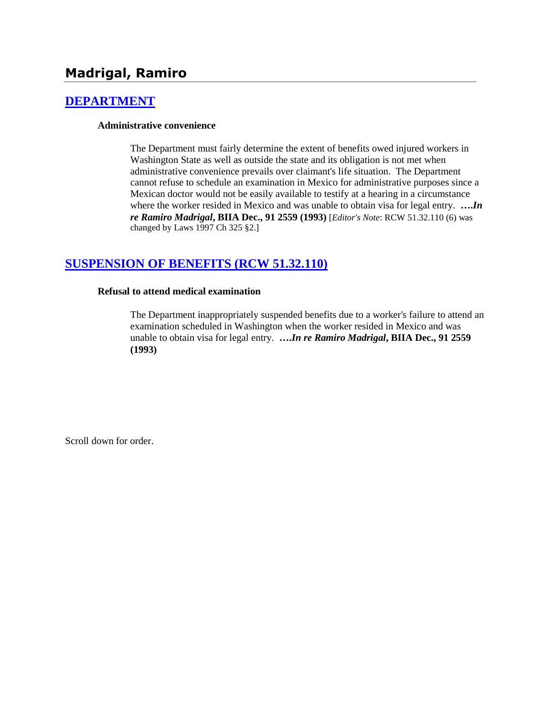# **[DEPARTMENT](http://www.biia.wa.gov/SDSubjectIndex.html#DEPARTMENT)**

#### **Administrative convenience**

The Department must fairly determine the extent of benefits owed injured workers in Washington State as well as outside the state and its obligation is not met when administrative convenience prevails over claimant's life situation. The Department cannot refuse to schedule an examination in Mexico for administrative purposes since a Mexican doctor would not be easily available to testify at a hearing in a circumstance where the worker resided in Mexico and was unable to obtain visa for legal entry. **….***In re Ramiro Madrigal***, BIIA Dec., 91 2559 (1993)** [*Editor's Note*: RCW 51.32.110 (6) was changed by Laws 1997 Ch 325 §2.]

# **[SUSPENSION OF BENEFITS \(RCW 51.32.110\)](http://www.biia.wa.gov/SDSubjectIndex.html#SUSPENSION_OF_BENEFITS)**

#### **Refusal to attend medical examination**

The Department inappropriately suspended benefits due to a worker's failure to attend an examination scheduled in Washington when the worker resided in Mexico and was unable to obtain visa for legal entry. **….***In re Ramiro Madrigal***, BIIA Dec., 91 2559 (1993)**

Scroll down for order.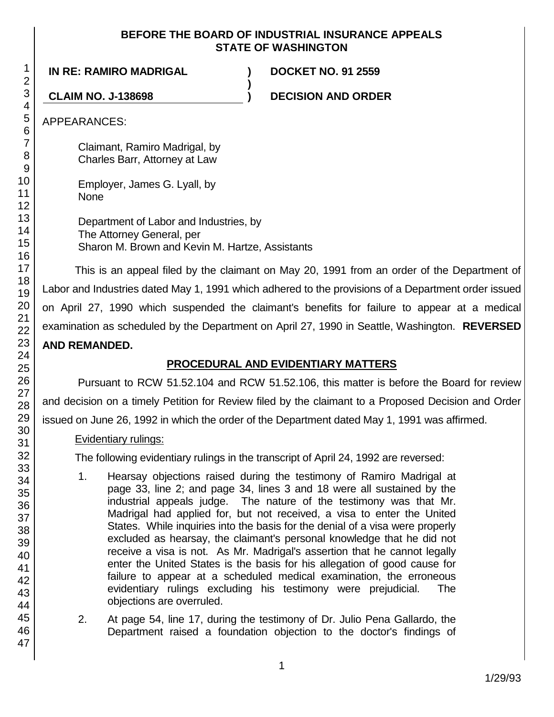## **BEFORE THE BOARD OF INDUSTRIAL INSURANCE APPEALS STATE OF WASHINGTON**

**)**

**IN RE: RAMIRO MADRIGAL ) DOCKET NO. 91 2559**

**CLAIM NO. J-138698 ) DECISION AND ORDER**

APPEARANCES:

Claimant, Ramiro Madrigal, by Charles Barr, Attorney at Law

Employer, James G. Lyall, by None

Department of Labor and Industries, by The Attorney General, per Sharon M. Brown and Kevin M. Hartze, Assistants

This is an appeal filed by the claimant on May 20, 1991 from an order of the Department of Labor and Industries dated May 1, 1991 which adhered to the provisions of a Department order issued on April 27, 1990 which suspended the claimant's benefits for failure to appear at a medical examination as scheduled by the Department on April 27, 1990 in Seattle, Washington. **REVERSED AND REMANDED.**

# **PROCEDURAL AND EVIDENTIARY MATTERS**

Pursuant to RCW 51.52.104 and RCW 51.52.106, this matter is before the Board for review and decision on a timely Petition for Review filed by the claimant to a Proposed Decision and Order issued on June 26, 1992 in which the order of the Department dated May 1, 1991 was affirmed.

# Evidentiary rulings:

The following evidentiary rulings in the transcript of April 24, 1992 are reversed:

- 1. Hearsay objections raised during the testimony of Ramiro Madrigal at page 33, line 2; and page 34, lines 3 and 18 were all sustained by the industrial appeals judge. The nature of the testimony was that Mr. Madrigal had applied for, but not received, a visa to enter the United States. While inquiries into the basis for the denial of a visa were properly excluded as hearsay, the claimant's personal knowledge that he did not receive a visa is not. As Mr. Madrigal's assertion that he cannot legally enter the United States is the basis for his allegation of good cause for failure to appear at a scheduled medical examination, the erroneous evidentiary rulings excluding his testimony were prejudicial. The objections are overruled.
- 2. At page 54, line 17, during the testimony of Dr. Julio Pena Gallardo, the Department raised a foundation objection to the doctor's findings of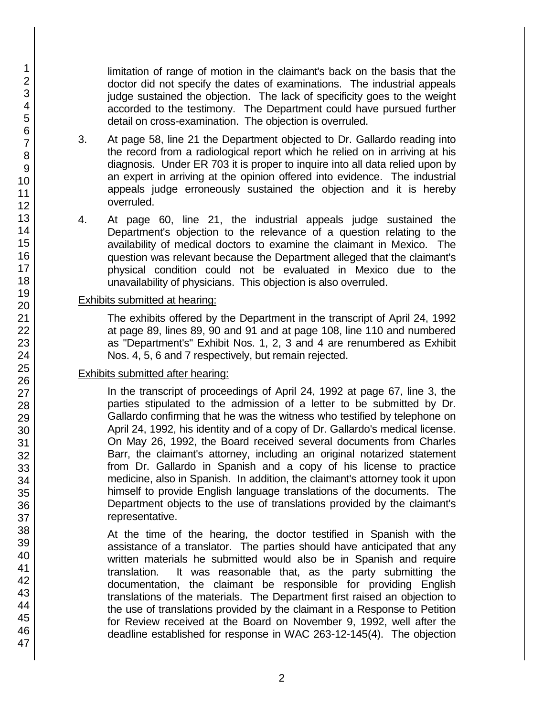limitation of range of motion in the claimant's back on the basis that the doctor did not specify the dates of examinations. The industrial appeals judge sustained the objection. The lack of specificity goes to the weight accorded to the testimony. The Department could have pursued further detail on cross-examination. The objection is overruled.

- 3. At page 58, line 21 the Department objected to Dr. Gallardo reading into the record from a radiological report which he relied on in arriving at his diagnosis. Under ER 703 it is proper to inquire into all data relied upon by an expert in arriving at the opinion offered into evidence. The industrial appeals judge erroneously sustained the objection and it is hereby overruled.
- 4. At page 60, line 21, the industrial appeals judge sustained the Department's objection to the relevance of a question relating to the availability of medical doctors to examine the claimant in Mexico. The question was relevant because the Department alleged that the claimant's physical condition could not be evaluated in Mexico due to the unavailability of physicians. This objection is also overruled.

## Exhibits submitted at hearing:

The exhibits offered by the Department in the transcript of April 24, 1992 at page 89, lines 89, 90 and 91 and at page 108, line 110 and numbered as "Department's" Exhibit Nos. 1, 2, 3 and 4 are renumbered as Exhibit Nos. 4, 5, 6 and 7 respectively, but remain rejected.

## Exhibits submitted after hearing:

 In the transcript of proceedings of April 24, 1992 at page 67, line 3, the parties stipulated to the admission of a letter to be submitted by Dr. Gallardo confirming that he was the witness who testified by telephone on April 24, 1992, his identity and of a copy of Dr. Gallardo's medical license. On May 26, 1992, the Board received several documents from Charles Barr, the claimant's attorney, including an original notarized statement from Dr. Gallardo in Spanish and a copy of his license to practice medicine, also in Spanish. In addition, the claimant's attorney took it upon himself to provide English language translations of the documents. The Department objects to the use of translations provided by the claimant's representative.

At the time of the hearing, the doctor testified in Spanish with the assistance of a translator. The parties should have anticipated that any written materials he submitted would also be in Spanish and require translation. It was reasonable that, as the party submitting the documentation, the claimant be responsible for providing English translations of the materials. The Department first raised an objection to the use of translations provided by the claimant in a Response to Petition for Review received at the Board on November 9, 1992, well after the deadline established for response in WAC 263-12-145(4). The objection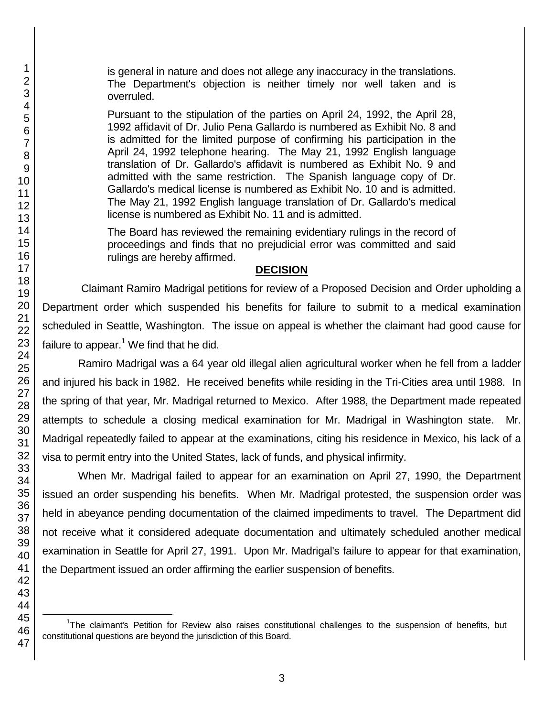l

1

is general in nature and does not allege any inaccuracy in the translations. The Department's objection is neither timely nor well taken and is overruled.

Pursuant to the stipulation of the parties on April 24, 1992, the April 28, 1992 affidavit of Dr. Julio Pena Gallardo is numbered as Exhibit No. 8 and is admitted for the limited purpose of confirming his participation in the April 24, 1992 telephone hearing. The May 21, 1992 English language translation of Dr. Gallardo's affidavit is numbered as Exhibit No. 9 and admitted with the same restriction. The Spanish language copy of Dr. Gallardo's medical license is numbered as Exhibit No. 10 and is admitted. The May 21, 1992 English language translation of Dr. Gallardo's medical license is numbered as Exhibit No. 11 and is admitted.

The Board has reviewed the remaining evidentiary rulings in the record of proceedings and finds that no prejudicial error was committed and said rulings are hereby affirmed.

#### **DECISION**

Claimant Ramiro Madrigal petitions for review of a Proposed Decision and Order upholding a Department order which suspended his benefits for failure to submit to a medical examination scheduled in Seattle, Washington. The issue on appeal is whether the claimant had good cause for failure to appear. $1$  We find that he did.

Ramiro Madrigal was a 64 year old illegal alien agricultural worker when he fell from a ladder and injured his back in 1982. He received benefits while residing in the Tri-Cities area until 1988. In the spring of that year, Mr. Madrigal returned to Mexico. After 1988, the Department made repeated attempts to schedule a closing medical examination for Mr. Madrigal in Washington state. Mr. Madrigal repeatedly failed to appear at the examinations, citing his residence in Mexico, his lack of a visa to permit entry into the United States, lack of funds, and physical infirmity.

When Mr. Madrigal failed to appear for an examination on April 27, 1990, the Department issued an order suspending his benefits. When Mr. Madrigal protested, the suspension order was held in abeyance pending documentation of the claimed impediments to travel. The Department did not receive what it considered adequate documentation and ultimately scheduled another medical examination in Seattle for April 27, 1991. Upon Mr. Madrigal's failure to appear for that examination, the Department issued an order affirming the earlier suspension of benefits.

<sup>&</sup>lt;sup>1</sup>The claimant's Petition for Review also raises constitutional challenges to the suspension of benefits, but constitutional questions are beyond the jurisdiction of this Board.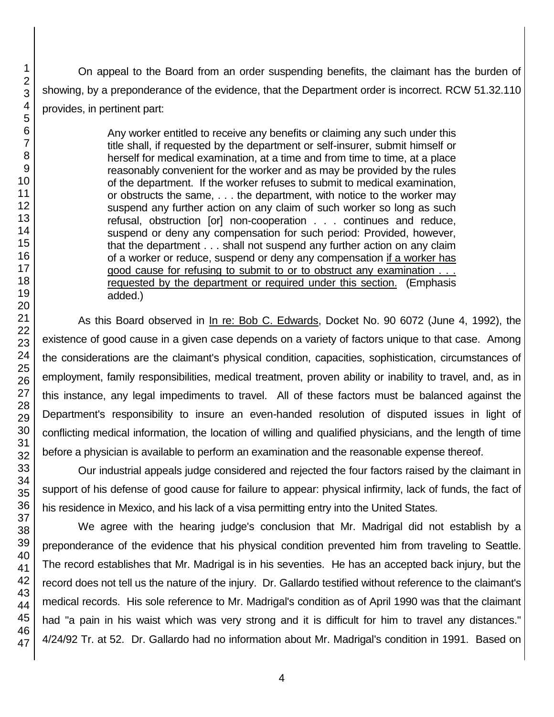On appeal to the Board from an order suspending benefits, the claimant has the burden of showing, by a preponderance of the evidence, that the Department order is incorrect. RCW 51.32.110 provides, in pertinent part:

> Any worker entitled to receive any benefits or claiming any such under this title shall, if requested by the department or self-insurer, submit himself or herself for medical examination, at a time and from time to time, at a place reasonably convenient for the worker and as may be provided by the rules of the department. If the worker refuses to submit to medical examination, or obstructs the same, . . . the department, with notice to the worker may suspend any further action on any claim of such worker so long as such refusal, obstruction [or] non-cooperation . . . continues and reduce, suspend or deny any compensation for such period: Provided, however, that the department . . . shall not suspend any further action on any claim of a worker or reduce, suspend or deny any compensation if a worker has good cause for refusing to submit to or to obstruct any examination . . . requested by the department or required under this section. (Emphasis added.)

As this Board observed in In re: Bob C. Edwards, Docket No. 90 6072 (June 4, 1992), the existence of good cause in a given case depends on a variety of factors unique to that case. Among the considerations are the claimant's physical condition, capacities, sophistication, circumstances of employment, family responsibilities, medical treatment, proven ability or inability to travel, and, as in this instance, any legal impediments to travel. All of these factors must be balanced against the Department's responsibility to insure an even-handed resolution of disputed issues in light of conflicting medical information, the location of willing and qualified physicians, and the length of time before a physician is available to perform an examination and the reasonable expense thereof.

Our industrial appeals judge considered and rejected the four factors raised by the claimant in support of his defense of good cause for failure to appear: physical infirmity, lack of funds, the fact of his residence in Mexico, and his lack of a visa permitting entry into the United States.

We agree with the hearing judge's conclusion that Mr. Madrigal did not establish by a preponderance of the evidence that his physical condition prevented him from traveling to Seattle. The record establishes that Mr. Madrigal is in his seventies. He has an accepted back injury, but the record does not tell us the nature of the injury. Dr. Gallardo testified without reference to the claimant's medical records. His sole reference to Mr. Madrigal's condition as of April 1990 was that the claimant had "a pain in his waist which was very strong and it is difficult for him to travel any distances." 4/24/92 Tr. at 52. Dr. Gallardo had no information about Mr. Madrigal's condition in 1991. Based on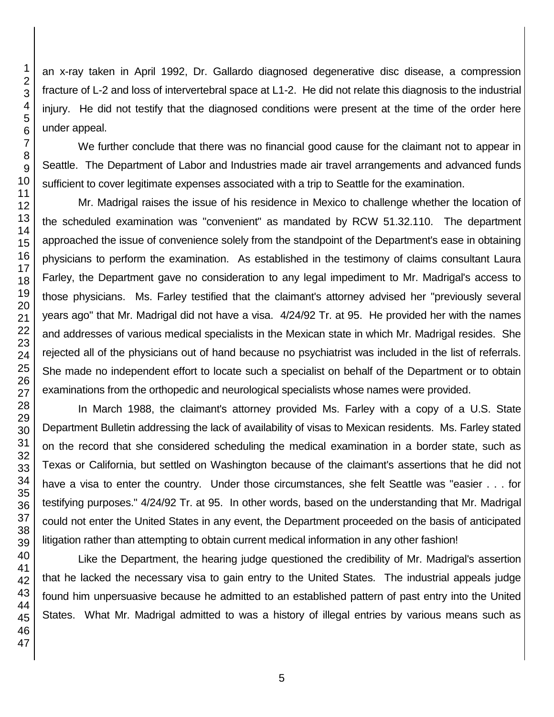an x-ray taken in April 1992, Dr. Gallardo diagnosed degenerative disc disease, a compression fracture of L-2 and loss of intervertebral space at L1-2. He did not relate this diagnosis to the industrial injury. He did not testify that the diagnosed conditions were present at the time of the order here

We further conclude that there was no financial good cause for the claimant not to appear in Seattle. The Department of Labor and Industries made air travel arrangements and advanced funds sufficient to cover legitimate expenses associated with a trip to Seattle for the examination.

Mr. Madrigal raises the issue of his residence in Mexico to challenge whether the location of the scheduled examination was "convenient" as mandated by RCW 51.32.110. The department approached the issue of convenience solely from the standpoint of the Department's ease in obtaining physicians to perform the examination. As established in the testimony of claims consultant Laura Farley, the Department gave no consideration to any legal impediment to Mr. Madrigal's access to those physicians. Ms. Farley testified that the claimant's attorney advised her "previously several years ago" that Mr. Madrigal did not have a visa. 4/24/92 Tr. at 95. He provided her with the names and addresses of various medical specialists in the Mexican state in which Mr. Madrigal resides. She rejected all of the physicians out of hand because no psychiatrist was included in the list of referrals. She made no independent effort to locate such a specialist on behalf of the Department or to obtain examinations from the orthopedic and neurological specialists whose names were provided.

In March 1988, the claimant's attorney provided Ms. Farley with a copy of a U.S. State Department Bulletin addressing the lack of availability of visas to Mexican residents. Ms. Farley stated on the record that she considered scheduling the medical examination in a border state, such as Texas or California, but settled on Washington because of the claimant's assertions that he did not have a visa to enter the country. Under those circumstances, she felt Seattle was "easier . . . for testifying purposes." 4/24/92 Tr. at 95. In other words, based on the understanding that Mr. Madrigal could not enter the United States in any event, the Department proceeded on the basis of anticipated litigation rather than attempting to obtain current medical information in any other fashion!

Like the Department, the hearing judge questioned the credibility of Mr. Madrigal's assertion that he lacked the necessary visa to gain entry to the United States. The industrial appeals judge found him unpersuasive because he admitted to an established pattern of past entry into the United States. What Mr. Madrigal admitted to was a history of illegal entries by various means such as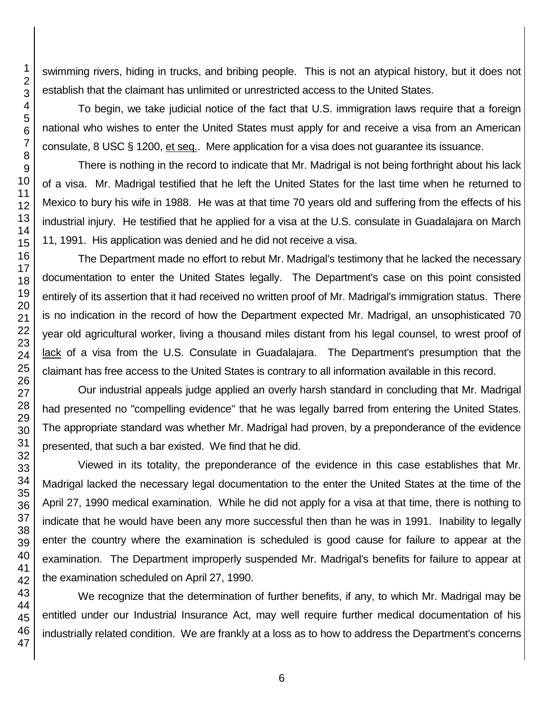swimming rivers, hiding in trucks, and bribing people. This is not an atypical history, but it does not establish that the claimant has unlimited or unrestricted access to the United States.

To begin, we take judicial notice of the fact that U.S. immigration laws require that a foreign national who wishes to enter the United States must apply for and receive a visa from an American consulate, 8 USC § 1200, et seq.. Mere application for a visa does not guarantee its issuance.

There is nothing in the record to indicate that Mr. Madrigal is not being forthright about his lack of a visa. Mr. Madrigal testified that he left the United States for the last time when he returned to Mexico to bury his wife in 1988. He was at that time 70 years old and suffering from the effects of his industrial injury. He testified that he applied for a visa at the U.S. consulate in Guadalajara on March 11, 1991. His application was denied and he did not receive a visa.

The Department made no effort to rebut Mr. Madrigal's testimony that he lacked the necessary documentation to enter the United States legally. The Department's case on this point consisted entirely of its assertion that it had received no written proof of Mr. Madrigal's immigration status. There is no indication in the record of how the Department expected Mr. Madrigal, an unsophisticated 70 year old agricultural worker, living a thousand miles distant from his legal counsel, to wrest proof of lack of a visa from the U.S. Consulate in Guadalajara. The Department's presumption that the claimant has free access to the United States is contrary to all information available in this record.

Our industrial appeals judge applied an overly harsh standard in concluding that Mr. Madrigal had presented no "compelling evidence" that he was legally barred from entering the United States. The appropriate standard was whether Mr. Madrigal had proven, by a preponderance of the evidence presented, that such a bar existed. We find that he did.

Viewed in its totality, the preponderance of the evidence in this case establishes that Mr. Madrigal lacked the necessary legal documentation to the enter the United States at the time of the April 27, 1990 medical examination. While he did not apply for a visa at that time, there is nothing to indicate that he would have been any more successful then than he was in 1991. Inability to legally enter the country where the examination is scheduled is good cause for failure to appear at the examination. The Department improperly suspended Mr. Madrigal's benefits for failure to appear at the examination scheduled on April 27, 1990.

We recognize that the determination of further benefits, if any, to which Mr. Madrigal may be entitled under our Industrial Insurance Act, may well require further medical documentation of his industrially related condition. We are frankly at a loss as to how to address the Department's concerns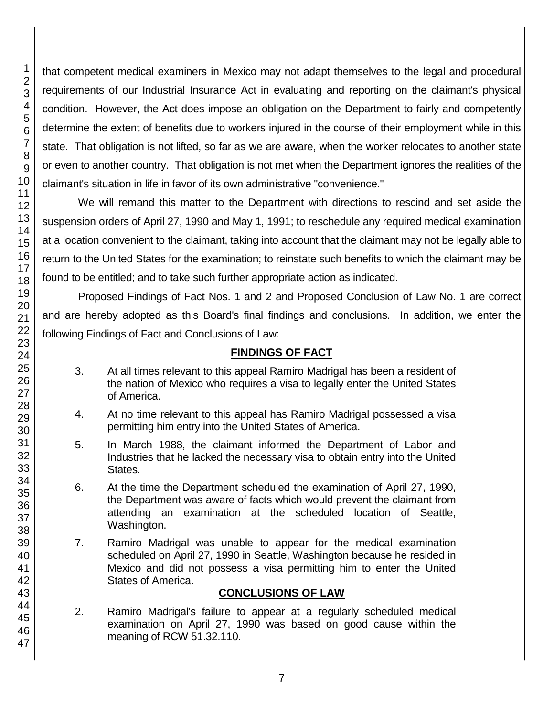that competent medical examiners in Mexico may not adapt themselves to the legal and procedural requirements of our Industrial Insurance Act in evaluating and reporting on the claimant's physical condition. However, the Act does impose an obligation on the Department to fairly and competently determine the extent of benefits due to workers injured in the course of their employment while in this state. That obligation is not lifted, so far as we are aware, when the worker relocates to another state or even to another country. That obligation is not met when the Department ignores the realities of the claimant's situation in life in favor of its own administrative "convenience."

We will remand this matter to the Department with directions to rescind and set aside the suspension orders of April 27, 1990 and May 1, 1991; to reschedule any required medical examination at a location convenient to the claimant, taking into account that the claimant may not be legally able to return to the United States for the examination; to reinstate such benefits to which the claimant may be found to be entitled; and to take such further appropriate action as indicated.

Proposed Findings of Fact Nos. 1 and 2 and Proposed Conclusion of Law No. 1 are correct and are hereby adopted as this Board's final findings and conclusions. In addition, we enter the following Findings of Fact and Conclusions of Law:

## **FINDINGS OF FACT**

- 3. At all times relevant to this appeal Ramiro Madrigal has been a resident of the nation of Mexico who requires a visa to legally enter the United States of America.
- 4. At no time relevant to this appeal has Ramiro Madrigal possessed a visa permitting him entry into the United States of America.
- 5. In March 1988, the claimant informed the Department of Labor and Industries that he lacked the necessary visa to obtain entry into the United States.
- 6. At the time the Department scheduled the examination of April 27, 1990, the Department was aware of facts which would prevent the claimant from attending an examination at the scheduled location of Seattle, Washington.
- 7. Ramiro Madrigal was unable to appear for the medical examination scheduled on April 27, 1990 in Seattle, Washington because he resided in Mexico and did not possess a visa permitting him to enter the United States of America.

## **CONCLUSIONS OF LAW**

2. Ramiro Madrigal's failure to appear at a regularly scheduled medical examination on April 27, 1990 was based on good cause within the meaning of RCW 51.32.110.